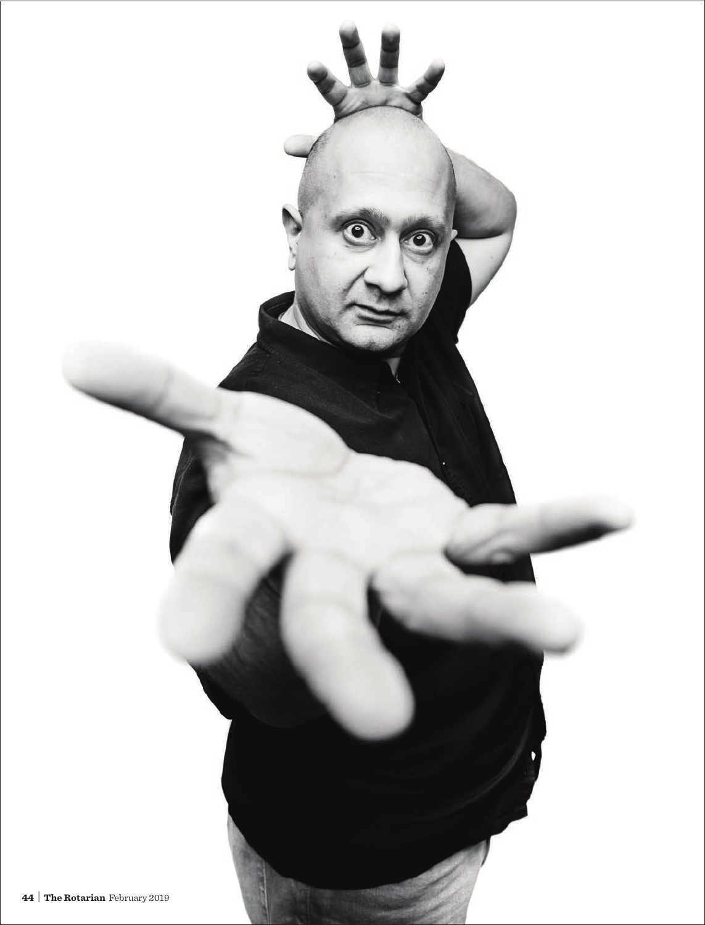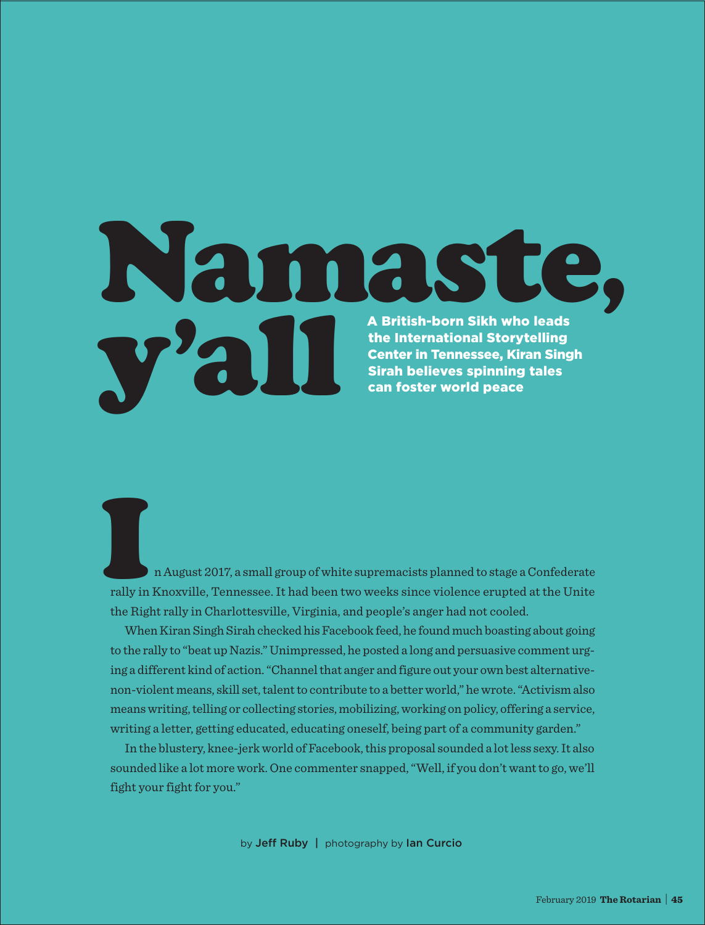## Ramaste,  $r$ all the International Storytelling Center in Tennessee, Kiran Singh Sirah believes spinning tales can foster world peace

 n August 2017, a small group of white supremacists planned to stage a Confederate rally in Knoxville, Tennessee. It had been two weeks since violence erupted at the Unite the Right rally in Charlottesville, Virginia, and people's anger had not cooled. I rally in

When Kiran Singh Sirah checked his Facebook feed, he found much boasting about going to the rally to "beat up Nazis." Unimpressed, he posted a long and persuasive comment urging a different kind of action. "Channel that anger and figure out your own best alternativenon-violent means, skill set, talent to contribute to a better world," he wrote. "Activism also means writing, telling or collecting stories, mobilizing, working on policy, offering a service, writing a letter, getting educated, educating oneself, being part of a community garden."

In the blustery, knee-jerk world of Facebook, this proposal sounded a lot less sexy. It also sounded like a lot more work. One commenter snapped, "Well, if you don't want to go, we'll fight your fight for you."

by Jeff Ruby | photography by Ian Curcio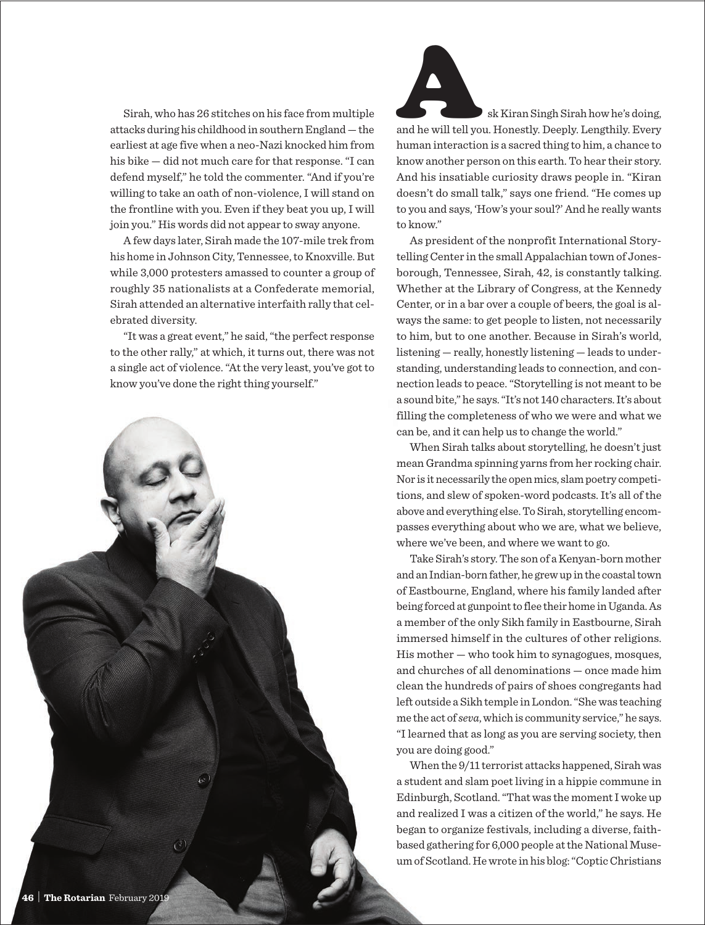Sirah, who has 26 stitches on his face from multiple attacks during his childhood in southern England — the earliest at age five when a neo-Nazi knocked him from his bike — did not much care for that response. "I can defend myself," he told the commenter. "And if you're willing to take an oath of non-violence, I will stand on the frontline with you. Even if they beat you up, I will join you." His words did not appear to sway anyone.

A few days later, Sirah made the 107-mile trek from his home in Johnson City, Tennessee, to Knoxville. But while 3,000 protesters amassed to counter a group of roughly 35 nationalists at a Confederate memorial, Sirah attended an alternative interfaith rally that celebrated diversity.

"It was a great event," he said, "the perfect response to the other rally," at which, it turns out, there was not a single act of violence. "At the very least, you've got to know you've done the right thing yourself."





Ask Kiran Singh Sirah how he's doing, and he will tell you. Honestly. Deeply. Lengthily. Every human interaction is a sacred thing to him, a chance to know another person on this earth. To hear their story. And his insatiable curiosity draws people in. "Kiran doesn't do small talk," says one friend. "He comes up to you and says, 'How's your soul?' And he really wants to know."

As president of the nonprofit International Storytelling Center in the small Appalachian town of Jonesborough, Tennessee, Sirah, 42, is constantly talking. Whether at the Library of Congress, at the Kennedy Center, or in a bar over a couple of beers, the goal is always the same: to get people to listen, not necessarily to him, but to one another. Because in Sirah's world, listening — really, honestly listening — leads to understanding, understanding leads to connection, and connection leads to peace. "Storytelling is not meant to be a sound bite," he says. "It's not 140 characters. It's about filling the completeness of who we were and what we can be, and it can help us to change the world."

When Sirah talks about storytelling, he doesn't just mean Grandma spinning yarns from her rocking chair. Nor is it necessarily the open mics, slam poetry competitions, and slew of spoken-word podcasts. It's all of the above and everything else. To Sirah, storytelling encompasses everything about who we are, what we believe, where we've been, and where we want to go.

Take Sirah's story. The son of a Kenyan-born mother and an Indian-born father, he grew up in the coastal town of Eastbourne, England, where his family landed after being forced at gunpoint to flee their home in Uganda. As a member of the only Sikh family in Eastbourne, Sirah immersed himself in the cultures of other religions. His mother — who took him to synagogues, mosques, and churches of all denominations — once made him clean the hundreds of pairs of shoes congregants had left outside a Sikh temple in London. "She was teaching me the act of *seva*, which is community service," he says. "I learned that as long as you are serving society, then you are doing good."

When the 9/11 terrorist attacks happened, Sirah was a student and slam poet living in a hippie commune in Edinburgh, Scotland. "That was the moment I woke up and realized I was a citizen of the world," he says. He began to organize festivals, including a diverse, faithbased gathering for 6,000 people at the National Museum of Scotland. He wrote in his blog: "Coptic Christians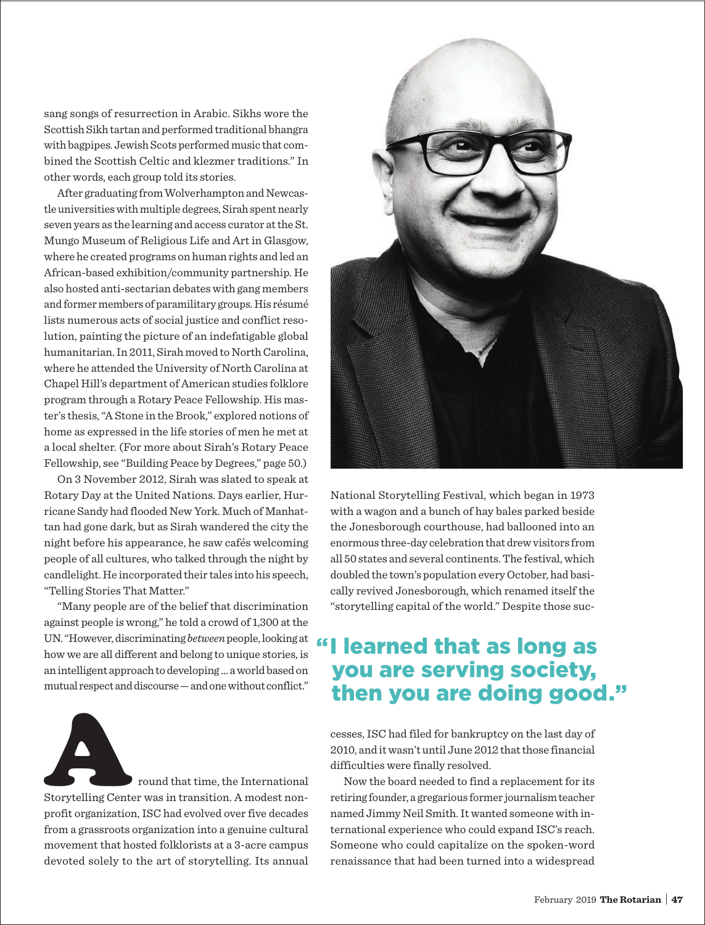sang songs of resurrection in Arabic. Sikhs wore the Scottish Sikh tartan and performed traditional bhangra with bagpipes. Jewish Scots performed music that combined the Scottish Celtic and klezmer traditions." In other words, each group told its stories.

After graduating from Wolverhampton and Newcastle universities with multiple degrees, Sirah spent nearly seven years as the learning and access curator at the St. Mungo Museum of Religious Life and Art in Glasgow, where he created programs on human rights and led an African-based exhibition/community partnership. He also hosted anti-sectarian debates with gang members and former members of paramilitary groups. His résumé lists numerous acts of social justice and conflict resolution, painting the picture of an indefatigable global humanitarian. In 2011, Sirah moved to North Carolina, where he attended the University of North Carolina at Chapel Hill's department of American studies folklore program through a Rotary Peace Fellowship. His master's thesis, "A Stone in the Brook," explored notions of home as expressed in the life stories of men he met at a local shelter. (For more about Sirah's Rotary Peace Fellowship, see "Building Peace by Degrees," page 50.)

On 3 November 2012, Sirah was slated to speak at Rotary Day at the United Nations. Days earlier, Hurricane Sandy had flooded New York. Much of Manhattan had gone dark, but as Sirah wandered the city the night before his appearance, he saw cafés welcoming people of all cultures, who talked through the night by candlelight. He incorporated their tales into his speech, "Telling Stories That Matter."

"Many people are of the belief that discrimination against people is wrong," he told a crowd of 1,300 at the UN. "However, discriminating *between* people, looking at how we are all different and belong to unique stories, is an intelligent approach to developing … a world based on mutual respect and discourse — and one without conflict."

Around that time, the International<br>Storytelling Center was in transition. A modest non-Storytelling Center was in transition. A modest nonprofit organization, ISC had evolved over five decades from a grassroots organization into a genuine cultural movement that hosted folklorists at a 3-acre campus devoted solely to the art of storytelling. Its annual



National Storytelling Festival, which began in 1973 with a wagon and a bunch of hay bales parked beside the Jonesborough courthouse, had ballooned into an enormous three-day celebration that drew visitors from all 50 states and several continents. The festival, which doubled the town's population every October, had basically revived Jonesborough, which renamed itself the "storytelling capital of the world." Despite those suc-

## "I learned that as long as you are serving society, then you are doing good."

cesses, ISC had filed for bankruptcy on the last day of 2010, and it wasn't until June 2012 that those financial difficulties were finally resolved.

Now the board needed to find a replacement for its retiring founder, a gregarious former journalism teacher named Jimmy Neil Smith. It wanted someone with international experience who could expand ISC's reach. Someone who could capitalize on the spoken-word renaissance that had been turned into a widespread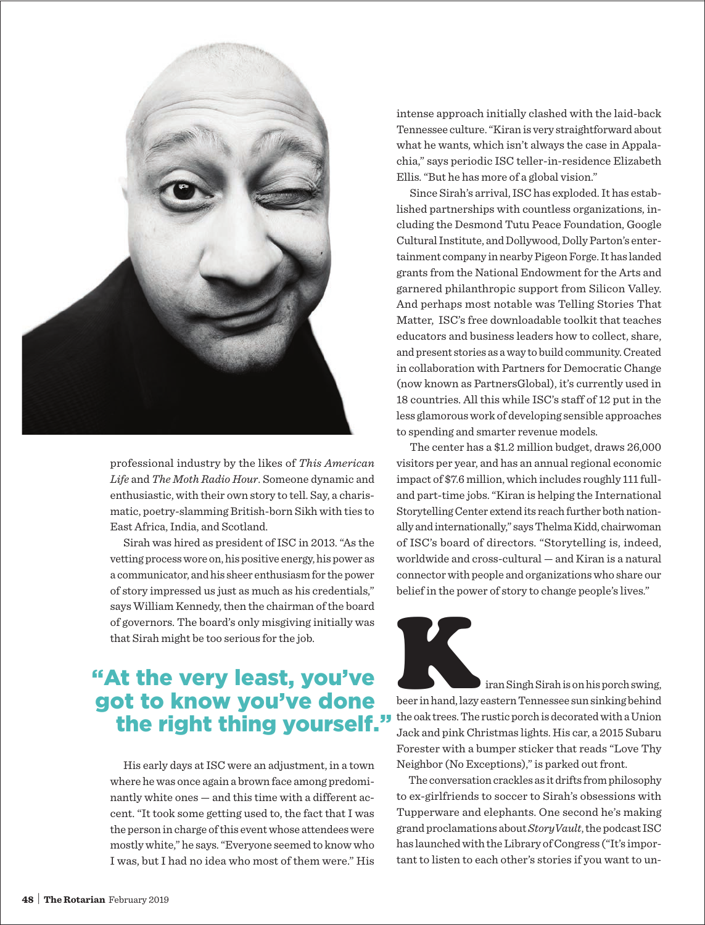![](_page_4_Picture_0.jpeg)

professional industry by the likes of *This American Life* and *The Moth Radio Hour*. Someone dynamic and enthusiastic, with their own story to tell. Say, a charismatic, poetry-slamming British-born Sikh with ties to East Africa, India, and Scotland.

Sirah was hired as president of ISC in 2013. "As the vetting process wore on, his positive energy, his power as a communicator, and his sheer enthusiasm for the power of story impressed us just as much as his credentials," says William Kennedy, then the chairman of the board of governors. The board's only misgiving initially was that Sirah might be too serious for the job.

## "At the very least, you've got to know you've done the right thing yourself."

His early days at ISC were an adjustment, in a town where he was once again a brown face among predominantly white ones — and this time with a different accent. "It took some getting used to, the fact that I was the person in charge of this event whose attendees were mostly white," he says. "Everyone seemed to know who I was, but I had no idea who most of them were." His

intense approach initially clashed with the laid-back Tennessee culture. "Kiran is very straightforward about what he wants, which isn't always the case in Appalachia," says periodic ISC teller-in-residence Elizabeth Ellis. "But he has more of a global vision."

Since Sirah's arrival, ISC has exploded. It has established partnerships with countless organizations, including the Desmond Tutu Peace Foundation, Google Cultural Institute, and Dollywood, Dolly Parton's entertainment company in nearby Pigeon Forge. It has landed grants from the National Endowment for the Arts and garnered philanthropic support from Silicon Valley. And perhaps most notable was Telling Stories That Matter, ISC's free downloadable toolkit that teaches educators and business leaders how to collect, share, and present stories as a way to build community. Created in collaboration with Partners for Democratic Change (now known as PartnersGlobal), it's currently used in 18 countries. All this while ISC's staff of 12 put in the less glamorous work of developing sensible approaches to spending and smarter revenue models.

The center has a \$1.2 million budget, draws 26,000 visitors per year, and has an annual regional economic impact of \$7.6 million, which includes roughly 111 fulland part-time jobs. "Kiran is helping the International Storytelling Center extend its reach further both nationally and internationally," says Thelma Kidd, chairwoman of ISC's board of directors. "Storytelling is, indeed, worldwide and cross-cultural — and Kiran is a natural connector with people and organizations who share our belief in the power of story to change people's lives."

![](_page_4_Picture_8.jpeg)

Kiran Singh Sirah is on his porch swing, beer in hand, lazy eastern Tennessee sun sinking behind the oak trees. The rustic porch is decorated with a Union Jack and pink Christmas lights. His car, a 2015 Subaru Forester with a bumper sticker that reads "Love Thy Neighbor (No Exceptions)," is parked out front.

 The conversation crackles as it drifts from philosophy to ex-girlfriends to soccer to Sirah's obsessions with Tupperware and elephants. One second he's making grand proclamations about *StoryVault*, the podcast ISC has launched with the Library of Congress ("It's important to listen to each other's stories if you want to un-